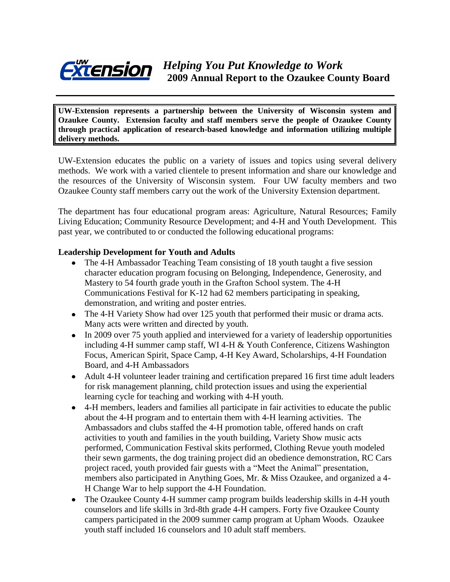

**UW-Extension represents a partnership between the University of Wisconsin system and Ozaukee County. Extension faculty and staff members serve the people of Ozaukee County through practical application of research-based knowledge and information utilizing multiple delivery methods.**

UW-Extension educates the public on a variety of issues and topics using several delivery methods. We work with a varied clientele to present information and share our knowledge and the resources of the University of Wisconsin system. Four UW faculty members and two Ozaukee County staff members carry out the work of the University Extension department.

The department has four educational program areas: Agriculture, Natural Resources; Family Living Education; Community Resource Development; and 4-H and Youth Development. This past year, we contributed to or conducted the following educational programs:

#### **Leadership Development for Youth and Adults**

- The 4-H Ambassador Teaching Team consisting of 18 youth taught a five session character education program focusing on Belonging, Independence, Generosity, and Mastery to 54 fourth grade youth in the Grafton School system. The 4-H Communications Festival for K-12 had 62 members participating in speaking, demonstration, and writing and poster entries.
- The 4-H Variety Show had over 125 youth that performed their music or drama acts. Many acts were written and directed by youth.
- In 2009 over 75 youth applied and interviewed for a variety of leadership opportunities including 4-H summer camp staff, WI 4-H & Youth Conference, Citizens Washington Focus, American Spirit, Space Camp, 4-H Key Award, Scholarships, 4-H Foundation Board, and 4-H Ambassadors
- Adult 4-H volunteer leader training and certification prepared 16 first time adult leaders for risk management planning, child protection issues and using the experiential learning cycle for teaching and working with 4-H youth.
- 4-H members, leaders and families all participate in fair activities to educate the public about the 4-H program and to entertain them with 4-H learning activities. The Ambassadors and clubs staffed the 4-H promotion table, offered hands on craft activities to youth and families in the youth building, Variety Show music acts performed, Communication Festival skits performed, Clothing Revue youth modeled their sewn garments, the dog training project did an obedience demonstration, RC Cars project raced, youth provided fair guests with a "Meet the Animal" presentation, members also participated in Anything Goes, Mr. & Miss Ozaukee, and organized a 4- H Change War to help support the 4-H Foundation.
- The Ozaukee County 4-H summer camp program builds leadership skills in 4-H youth counselors and life skills in 3rd-8th grade 4-H campers. Forty five Ozaukee County campers participated in the 2009 summer camp program at Upham Woods. Ozaukee youth staff included 16 counselors and 10 adult staff members.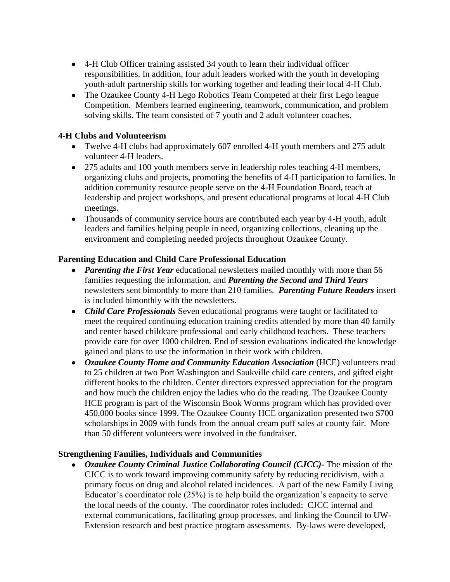- 4-H Club Officer training assisted 34 youth to learn their individual officer responsibilities. In addition, four adult leaders worked with the youth in developing youth-adult partnership skills for working together and leading their local 4-H Club.
- The Ozaukee County 4-H Lego Robotics Team Competed at their first Lego league Competition. Members learned engineering, teamwork, communication, and problem solving skills. The team consisted of 7 youth and 2 adult volunteer coaches.

## **4-H Clubs and Volunteerism**

- Twelve 4-H clubs had approximately 607 enrolled 4-H youth members and 275 adult volunteer 4-H leaders.
- 275 adults and 100 youth members serve in leadership roles teaching 4-H members, organizing clubs and projects, promoting the benefits of 4-H participation to families. In addition community resource people serve on the 4-H Foundation Board, teach at leadership and project workshops, and present educational programs at local 4-H Club meetings.
- Thousands of community service hours are contributed each year by 4-H youth, adult leaders and families helping people in need, organizing collections, cleaning up the environment and completing needed projects throughout Ozaukee County.

## **Parenting Education and Child Care Professional Education**

- *Parenting the First Year* educational newsletters mailed monthly with more than 56 families requesting the information, and *Parenting the Second and Third Years* newsletters sent bimonthly to more than 210 families. *Parenting Future Readers* insert is included bimonthly with the newsletters.
- *Child Care Professionals* Seven educational programs were taught or facilitated to meet the required continuing education training credits attended by more than 40 family and center based childcare professional and early childhood teachers. These teachers provide care for over 1000 children. End of session evaluations indicated the knowledge gained and plans to use the information in their work with children.
- *Ozaukee County Home and Community Education Association* (HCE) volunteers read to 25 children at two Port Washington and Saukville child care centers, and gifted eight different books to the children. Center directors expressed appreciation for the program and how much the children enjoy the ladies who do the reading. The Ozaukee County HCE program is part of the Wisconsin Book Worms program which has provided over 450,000 books since 1999. The Ozaukee County HCE organization presented two \$700 scholarships in 2009 with funds from the annual cream puff sales at county fair. More than 50 different volunteers were involved in the fundraiser.

## **Strengthening Families, Individuals and Communities**

*Ozaukee County Criminal Justice Collaborating Council (CJCC)-* The mission of the CJCC is to work toward improving community safety by reducing recidivism, with a primary focus on drug and alcohol related incidences. A part of the new Family Living Educator's coordinator role (25%) is to help build the organization's capacity to serve the local needs of the county. The coordinator roles included: CJCC internal and external communications, facilitating group processes, and linking the Council to UW-Extension research and best practice program assessments. By-laws were developed,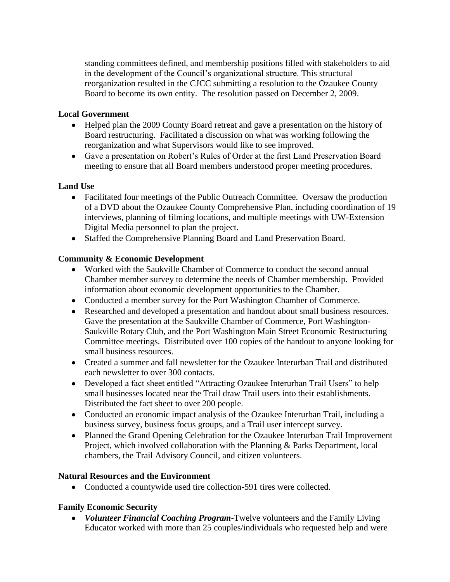standing committees defined, and membership positions filled with stakeholders to aid in the development of the Council's organizational structure. This structural reorganization resulted in the CJCC submitting a resolution to the Ozaukee County Board to become its own entity. The resolution passed on December 2, 2009.

## **Local Government**

- Helped plan the 2009 County Board retreat and gave a presentation on the history of Board restructuring. Facilitated a discussion on what was working following the reorganization and what Supervisors would like to see improved.
- Gave a presentation on Robert's Rules of Order at the first Land Preservation Board meeting to ensure that all Board members understood proper meeting procedures.

## **Land Use**

- Facilitated four meetings of the Public Outreach Committee. Oversaw the production of a DVD about the Ozaukee County Comprehensive Plan, including coordination of 19 interviews, planning of filming locations, and multiple meetings with UW-Extension Digital Media personnel to plan the project.
- Staffed the Comprehensive Planning Board and Land Preservation Board.

## **Community & Economic Development**

- Worked with the Saukville Chamber of Commerce to conduct the second annual  $\bullet$ Chamber member survey to determine the needs of Chamber membership. Provided information about economic development opportunities to the Chamber.
- Conducted a member survey for the Port Washington Chamber of Commerce.
- Researched and developed a presentation and handout about small business resources. Gave the presentation at the Saukville Chamber of Commerce, Port Washington-Saukville Rotary Club, and the Port Washington Main Street Economic Restructuring Committee meetings. Distributed over 100 copies of the handout to anyone looking for small business resources.
- Created a summer and fall newsletter for the Ozaukee Interurban Trail and distributed each newsletter to over 300 contacts.
- Developed a fact sheet entitled "Attracting Ozaukee Interurban Trail Users" to help small businesses located near the Trail draw Trail users into their establishments. Distributed the fact sheet to over 200 people.
- Conducted an economic impact analysis of the Ozaukee Interurban Trail, including a business survey, business focus groups, and a Trail user intercept survey.
- Planned the Grand Opening Celebration for the Ozaukee Interurban Trail Improvement Project, which involved collaboration with the Planning & Parks Department, local chambers, the Trail Advisory Council, and citizen volunteers.

## **Natural Resources and the Environment**

• Conducted a countywide used tire collection-591 tires were collected.

# **Family Economic Security**

*Volunteer Financial Coaching Program*-Twelve volunteers and the Family Living Educator worked with more than 25 couples/individuals who requested help and were